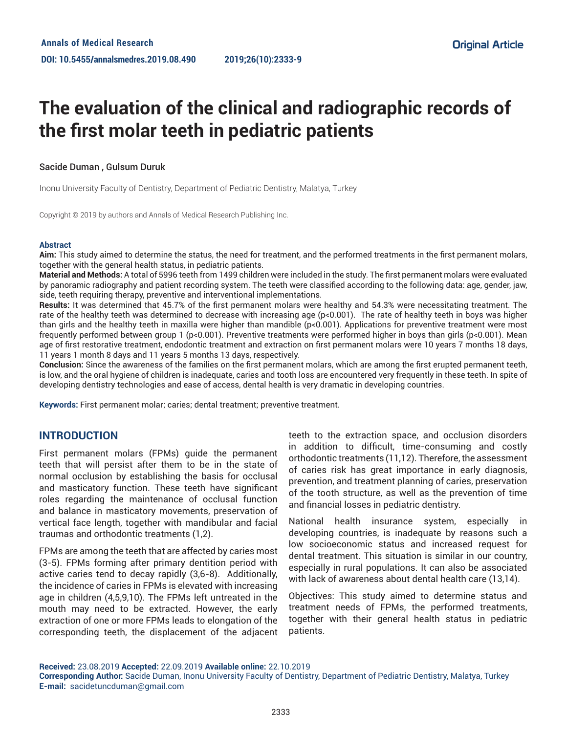# **The evaluation of the clinical and radiographic records of the first molar teeth in pediatric patients**

## Sacide Duman , Gulsum Duruk

Inonu University Faculty of Dentistry, Department of Pediatric Dentistry, Malatya, Turkey

Copyright © 2019 by authors and Annals of Medical Research Publishing Inc.

#### **Abstract**

**Aim:** This study aimed to determine the status, the need for treatment, and the performed treatments in the first permanent molars, together with the general health status, in pediatric patients.

**Material and Methods:** A total of 5996 teeth from 1499 children were included in the study. The first permanent molars were evaluated by panoramic radiography and patient recording system. The teeth were classified according to the following data: age, gender, jaw, side, teeth requiring therapy, preventive and interventional implementations.

**Results:** It was determined that 45.7% of the first permanent molars were healthy and 54.3% were necessitating treatment. The rate of the healthy teeth was determined to decrease with increasing age (p<0.001). The rate of healthy teeth in boys was higher than girls and the healthy teeth in maxilla were higher than mandible (p<0.001). Applications for preventive treatment were most frequently performed between group 1 (p<0.001). Preventive treatments were performed higher in boys than girls (p<0.001). Mean age of first restorative treatment, endodontic treatment and extraction on first permanent molars were 10 years 7 months 18 days, 11 years 1 month 8 days and 11 years 5 months 13 days, respectively.

**Conclusion:** Since the awareness of the families on the first permanent molars, which are among the first erupted permanent teeth, is low, and the oral hygiene of children is inadequate, caries and tooth loss are encountered very frequently in these teeth. In spite of developing dentistry technologies and ease of access, dental health is very dramatic in developing countries.

**Keywords:** First permanent molar; caries; dental treatment; preventive treatment.

## **INTRODUCTION**

First permanent molars (FPMs) guide the permanent teeth that will persist after them to be in the state of normal occlusion by establishing the basis for occlusal and masticatory function. These teeth have significant roles regarding the maintenance of occlusal function and balance in masticatory movements, preservation of vertical face length, together with mandibular and facial traumas and orthodontic treatments (1,2).

FPMs are among the teeth that are affected by caries most (3-5). FPMs forming after primary dentition period with active caries tend to decay rapidly (3,6-8). Additionally, the incidence of caries in FPMs is elevated with increasing age in children (4,5,9,10). The FPMs left untreated in the mouth may need to be extracted. However, the early extraction of one or more FPMs leads to elongation of the corresponding teeth, the displacement of the adjacent

teeth to the extraction space, and occlusion disorders in addition to difficult, time-consuming and costly orthodontic treatments (11,12). Therefore, the assessment of caries risk has great importance in early diagnosis, prevention, and treatment planning of caries, preservation of the tooth structure, as well as the prevention of time and financial losses in pediatric dentistry.

National health insurance system, especially in developing countries, is inadequate by reasons such a low socioeconomic status and increased request for dental treatment. This situation is similar in our country, especially in rural populations. It can also be associated with lack of awareness about dental health care (13,14).

Objectives: This study aimed to determine status and treatment needs of FPMs, the performed treatments, together with their general health status in pediatric patients.

**Received:** 23.08.2019 **Accepted:** 22.09.2019 **Available online:** 22.10.2019

**Corresponding Author:** Sacide Duman, Inonu University Faculty of Dentistry, Department of Pediatric Dentistry, Malatya, Turkey **E-mail:** sacidetuncduman@gmail.com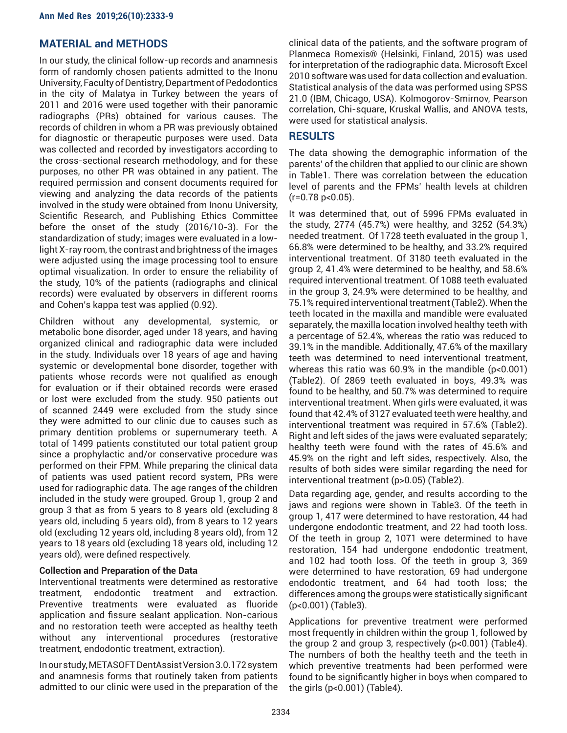# **MATERIAL and METHODS**

In our study, the clinical follow-up records and anamnesis form of randomly chosen patients admitted to the Inonu University, Faculty of Dentistry, Department of Pedodontics in the city of Malatya in Turkey between the years of 2011 and 2016 were used together with their panoramic radiographs (PRs) obtained for various causes. The records of children in whom a PR was previously obtained for diagnostic or therapeutic purposes were used. Data was collected and recorded by investigators according to the cross-sectional research methodology, and for these purposes, no other PR was obtained in any patient. The required permission and consent documents required for viewing and analyzing the data records of the patients involved in the study were obtained from Inonu University, Scientific Research, and Publishing Ethics Committee before the onset of the study (2016/10-3). For the standardization of study; images were evaluated in a lowlight X-ray room, the contrast and brightness of the images were adjusted using the image processing tool to ensure optimal visualization. In order to ensure the reliability of the study, 10% of the patients (radiographs and clinical records) were evaluated by observers in different rooms and Cohen's kappa test was applied (0.92).

Children without any developmental, systemic, or metabolic bone disorder, aged under 18 years, and having organized clinical and radiographic data were included in the study. Individuals over 18 years of age and having systemic or developmental bone disorder, together with patients whose records were not qualified as enough for evaluation or if their obtained records were erased or lost were excluded from the study. 950 patients out of scanned 2449 were excluded from the study since they were admitted to our clinic due to causes such as primary dentition problems or supernumerary teeth. A total of 1499 patients constituted our total patient group since a prophylactic and/or conservative procedure was performed on their FPM. While preparing the clinical data of patients was used patient record system, PRs were used for radiographic data. The age ranges of the children included in the study were grouped. Group 1, group 2 and group 3 that as from 5 years to 8 years old (excluding 8 years old, including 5 years old), from 8 years to 12 years old (excluding 12 years old, including 8 years old), from 12 years to 18 years old (excluding 18 years old, including 12 years old), were defined respectively.

## **Collection and Preparation of the Data**

Interventional treatments were determined as restorative treatment, endodontic treatment and extraction. Preventive treatments were evaluated as fluoride application and fissure sealant application. Non-carious and no restoration teeth were accepted as healthy teeth without any interventional procedures (restorative treatment, endodontic treatment, extraction).

In our study, METASOFT DentAssist Version 3.0.172 system and anamnesis forms that routinely taken from patients admitted to our clinic were used in the preparation of the clinical data of the patients, and the software program of Planmeca Romexis® (Helsinki, Finland, 2015) was used for interpretation of the radiographic data. Microsoft Excel 2010 software was used for data collection and evaluation. Statistical analysis of the data was performed using SPSS 21.0 (IBM, Chicago, USA). Kolmogorov-Smirnov, Pearson correlation, Chi-square, Kruskal Wallis, and ANOVA tests, were used for statistical analysis.

# **RESULTS**

The data showing the demographic information of the parents' of the children that applied to our clinic are shown in Table1. There was correlation between the education level of parents and the FPMs' health levels at children  $(r=0.78 \text{ p} < 0.05)$ .

It was determined that, out of 5996 FPMs evaluated in the study, 2774 (45.7%) were healthy, and 3252 (54.3%) needed treatment. Of 1728 teeth evaluated in the group 1, 66.8% were determined to be healthy, and 33.2% required interventional treatment. Of 3180 teeth evaluated in the group 2, 41.4% were determined to be healthy, and 58.6% required interventional treatment. Of 1088 teeth evaluated in the group 3, 24.9% were determined to be healthy, and 75.1% required interventional treatment (Table2). When the teeth located in the maxilla and mandible were evaluated separately, the maxilla location involved healthy teeth with a percentage of 52.4%, whereas the ratio was reduced to 39.1% in the mandible. Additionally, 47.6% of the maxillary teeth was determined to need interventional treatment, whereas this ratio was 60.9% in the mandible (p<0.001) (Table2). Of 2869 teeth evaluated in boys, 49.3% was found to be healthy, and 50.7% was determined to require interventional treatment. When girls were evaluated, it was found that 42.4% of 3127 evaluated teeth were healthy, and interventional treatment was required in 57.6% (Table2). Right and left sides of the jaws were evaluated separately; healthy teeth were found with the rates of 45.6% and 45.9% on the right and left sides, respectively. Also, the results of both sides were similar regarding the need for interventional treatment (p>0.05) (Table2).

Data regarding age, gender, and results according to the jaws and regions were shown in Table3. Of the teeth in group 1, 417 were determined to have restoration, 44 had undergone endodontic treatment, and 22 had tooth loss. Of the teeth in group 2, 1071 were determined to have restoration, 154 had undergone endodontic treatment, and 102 had tooth loss. Of the teeth in group 3, 369 were determined to have restoration, 69 had undergone endodontic treatment, and 64 had tooth loss; the differences among the groups were statistically significant (p<0.001) (Table3).

Applications for preventive treatment were performed most frequently in children within the group 1, followed by the group 2 and group 3, respectively (p<0.001) (Table4). The numbers of both the healthy teeth and the teeth in which preventive treatments had been performed were found to be significantly higher in boys when compared to the girls (p<0.001) (Table4).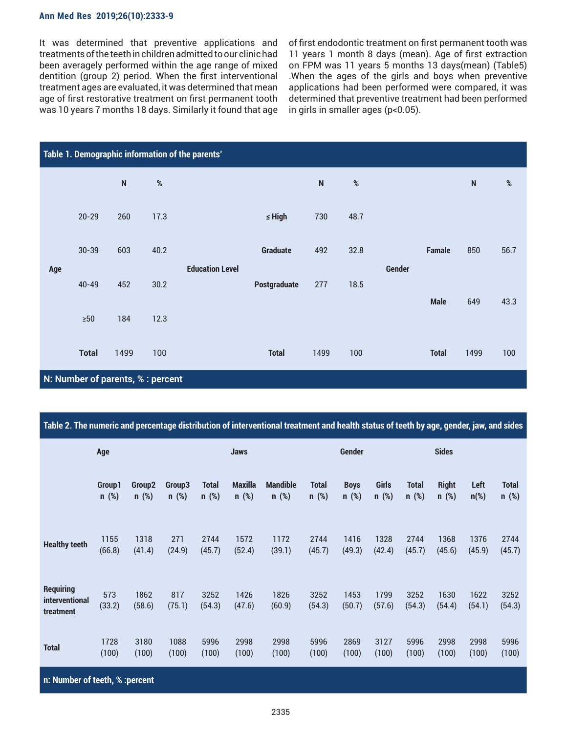#### **Ann Med Res 2019;26(10):2333-9**

It was determined that preventive applications and treatments of the teeth in children admitted to our clinic had been averagely performed within the age range of mixed dentition (group 2) period. When the first interventional treatment ages are evaluated, it was determined that mean age of first restorative treatment on first permanent tooth was 10 years 7 months 18 days. Similarly it found that age of first endodontic treatment on first permanent tooth was 11 years 1 month 8 days (mean). Age of first extraction on FPM was 11 years 5 months 13 days(mean) (Table5) .When the ages of the girls and boys when preventive applications had been performed were compared, it was determined that preventive treatment had been performed in girls in smaller ages (p<0.05).

| Table 1. Demographic information of the parents' |                                   |           |      |                        |                 |           |      |               |               |           |      |  |
|--------------------------------------------------|-----------------------------------|-----------|------|------------------------|-----------------|-----------|------|---------------|---------------|-----------|------|--|
|                                                  |                                   | ${\sf N}$ | $\%$ |                        |                 | ${\sf N}$ | $\%$ |               |               | ${\sf N}$ | $\%$ |  |
|                                                  | $20 - 29$                         | 260       | 17.3 |                        | $\leq$ High     | 730       | 48.7 |               |               |           |      |  |
|                                                  | $30 - 39$                         | 603       | 40.2 |                        | <b>Graduate</b> | 492       | 32.8 |               | <b>Famale</b> | 850       | 56.7 |  |
| Age                                              | $40 - 49$                         | 452       | 30.2 | <b>Education Level</b> | Postgraduate    | 277       | 18.5 | <b>Gender</b> | <b>Male</b>   | 649       | 43.3 |  |
|                                                  | $\geq 50$                         | 184       | 12.3 |                        |                 |           |      |               |               |           |      |  |
|                                                  | <b>Total</b>                      | 1499      | 100  |                        | <b>Total</b>    | 1499      | 100  |               | <b>Total</b>  | 1499      | 100  |  |
|                                                  | N: Number of parents, % : percent |           |      |                        |                 |           |      |               |               |           |      |  |

|  |  | Table 2. The numeric and percentage distribution of interventional treatment and health status of teeth by age, gender, jaw, and sides |  |  |  |  |
|--|--|----------------------------------------------------------------------------------------------------------------------------------------|--|--|--|--|
|--|--|----------------------------------------------------------------------------------------------------------------------------------------|--|--|--|--|

|                                                 | Age                             |                    |               | <b>Jaws</b>    |                |                 | <b>Gender</b>  |                |                | <b>Sides</b>   |                |                |                |  |
|-------------------------------------------------|---------------------------------|--------------------|---------------|----------------|----------------|-----------------|----------------|----------------|----------------|----------------|----------------|----------------|----------------|--|
|                                                 | Group1                          | Group <sub>2</sub> | Group3        | <b>Total</b>   | <b>Maxilla</b> | <b>Mandible</b> | <b>Total</b>   | <b>Boys</b>    | Girls          | <b>Total</b>   | <b>Right</b>   | Left           | <b>Total</b>   |  |
|                                                 | $n$ (%)                         | $n$ (%)            | $n$ (%)       | $n$ (%)        | $n$ (%)        | $n$ (%)         | $n$ (%)        | $n$ (%)        | $n$ (%)        | $n$ (%)        | $n$ (%)        | $n$ (%)        | $n$ (%)        |  |
| <b>Healthy teeth</b>                            | 1155                            | 1318               | 271           | 2744           | 1572           | 1172            | 2744           | 1416           | 1328           | 2744           | 1368           | 1376           | 2744           |  |
|                                                 | (66.8)                          | (41.4)             | (24.9)        | (45.7)         | (52.4)         | (39.1)          | (45.7)         | (49.3)         | (42.4)         | (45.7)         | (45.6)         | (45.9)         | (45.7)         |  |
| <b>Requiring</b><br>interventional<br>treatment | 573<br>(33.2)                   | 1862<br>(58.6)     | 817<br>(75.1) | 3252<br>(54.3) | 1426<br>(47.6) | 1826<br>(60.9)  | 3252<br>(54.3) | 1453<br>(50.7) | 1799<br>(57.6) | 3252<br>(54.3) | 1630<br>(54.4) | 1622<br>(54.1) | 3252<br>(54.3) |  |
| <b>Total</b>                                    | 1728                            | 3180               | 1088          | 5996           | 2998           | 2998            | 5996           | 2869           | 3127           | 5996           | 2998           | 2998           | 5996           |  |
|                                                 | (100)                           | (100)              | (100)         | (100)          | (100)          | (100)           | (100)          | (100)          | (100)          | (100)          | (100)          | (100)          | (100)          |  |
|                                                 | n: Number of teeth, % : percent |                    |               |                |                |                 |                |                |                |                |                |                |                |  |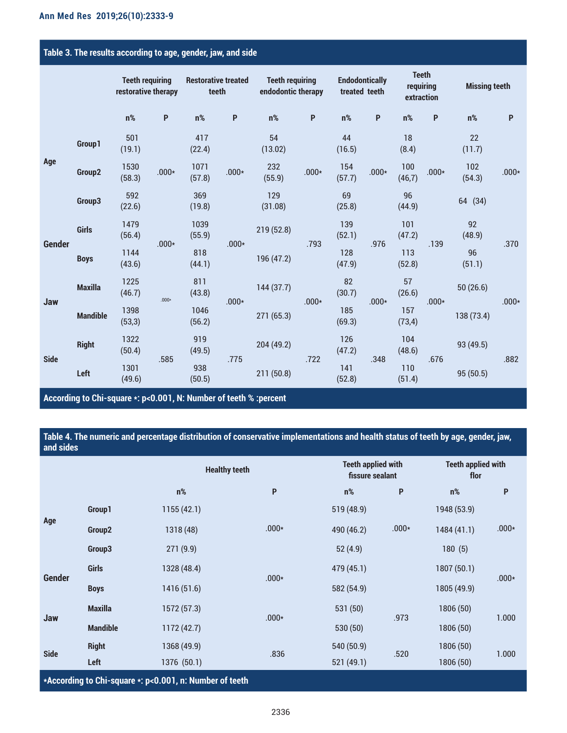# **Table 3. The results according to age, gender, jaw, and side**

|               |                 | <b>Teeth requiring</b><br>restorative therapy |              | <b>Restorative treated</b><br>teeth |                           | <b>Teeth requiring</b><br>endodontic therapy |              | <b>Endodontically</b><br>treated teeth |         | <b>Teeth</b><br>requiring<br>extraction |                           | <b>Missing teeth</b> |         |
|---------------|-----------------|-----------------------------------------------|--------------|-------------------------------------|---------------------------|----------------------------------------------|--------------|----------------------------------------|---------|-----------------------------------------|---------------------------|----------------------|---------|
|               |                 | $n\%$                                         | $\mathsf{P}$ | $n\%$                               | $\boldsymbol{\mathsf{P}}$ | $n\%$                                        | $\mathsf{P}$ | $n\%$                                  | P       | $n\%$                                   | $\boldsymbol{\mathsf{P}}$ | $n\%$                | P       |
| Age           | Group1          | 501<br>(19.1)                                 |              | 417<br>(22.4)                       |                           | 54<br>(13.02)                                |              | 44<br>(16.5)                           |         | 18<br>(8.4)                             |                           | 22<br>(11.7)         | $.000*$ |
|               | Group2          | 1530<br>(58.3)                                | $.000*$      | 1071<br>(57.8)                      | $.000*$                   | 232<br>(55.9)                                | $.000*$      | 154<br>(57.7)                          | $.000*$ | 100<br>(46, 7)                          | $.000*$                   | 102<br>(54.3)        |         |
|               | Group3          | 592<br>(22.6)                                 |              | 369<br>(19.8)                       |                           | 129<br>(31.08)                               |              | 69<br>(25.8)                           |         | 96<br>(44.9)                            |                           | 64 (34)              |         |
|               | Girls           | 1479<br>(56.4)                                | $.000*$      | 1039<br>(55.9)                      | $.000*$                   | 219(52.8)                                    | .793         | 139<br>(52.1)                          | .976    | 101<br>(47.2)                           | .139                      | 92<br>(48.9)         | .370    |
| <b>Gender</b> | <b>Boys</b>     | 1144<br>(43.6)                                |              | 818<br>(44.1)                       |                           | 196 (47.2)                                   |              | 128<br>(47.9)                          |         | 113<br>(52.8)                           |                           | 96<br>(51.1)         |         |
|               | <b>Maxilla</b>  | 1225<br>(46.7)                                | $.000*$      | 811<br>(43.8)                       | $.000*$                   | 144(37.7)                                    | $.000*$      | 82<br>(30.7)                           | $.000*$ | 57<br>(26.6)                            | $.000*$                   | 50(26.6)             | $.000*$ |
| Jaw           | <b>Mandible</b> | 1398<br>(53,3)                                |              | 1046<br>(56.2)                      |                           | 271 (65.3)                                   |              | 185<br>(69.3)                          |         | 157<br>(73, 4)                          |                           | 138 (73.4)           |         |
| <b>Side</b>   | <b>Right</b>    | 1322<br>(50.4)                                | .585         | 919<br>(49.5)                       | .775                      | 204 (49.2)                                   |              | 126<br>(47.2)                          |         | 104<br>(48.6)                           | .676                      | 93 (49.5)            | .882    |
|               | Left            | 1301<br>(49.6)                                |              | 938<br>(50.5)                       |                           | 211(50.8)                                    | .722         | 141<br>(52.8)                          | .348    | 110<br>(51.4)                           |                           | 95(50.5)             |         |

**According to Chi-square \*: p<0.001, N: Number of teeth % :percent**

**Table 4. The numeric and percentage distribution of conservative implementations and health status of teeth by age, gender, jaw, and sides**

|               |                                                         | <b>Healthy teeth</b> |         | <b>Teeth applied with</b><br>fissure sealant |         | <b>Teeth applied with</b><br>flor |                           |  |  |  |  |  |
|---------------|---------------------------------------------------------|----------------------|---------|----------------------------------------------|---------|-----------------------------------|---------------------------|--|--|--|--|--|
|               |                                                         | $n\%$                | P       | $n\%$                                        | P       | $n\%$                             | $\boldsymbol{\mathsf{P}}$ |  |  |  |  |  |
| Age           | Group1                                                  | 1155(42.1)           |         | 519 (48.9)                                   |         | 1948 (53.9)                       |                           |  |  |  |  |  |
|               | Group <sub>2</sub>                                      | 1318 (48)            | $.000*$ | 490 (46.2)                                   | $.000*$ | 1484 (41.1)                       | $.000*$                   |  |  |  |  |  |
|               | Group3                                                  | 271(9.9)             |         | 52(4.9)                                      |         | 180(5)                            |                           |  |  |  |  |  |
|               | <b>Girls</b>                                            | 1328 (48.4)          | $.000*$ | 479 (45.1)                                   |         | 1807 (50.1)                       | $.000*$                   |  |  |  |  |  |
| <b>Gender</b> | <b>Boys</b>                                             | 1416 (51.6)          |         | 582 (54.9)                                   |         | 1805 (49.9)                       |                           |  |  |  |  |  |
|               | <b>Maxilla</b>                                          | 1572 (57.3)          | $.000*$ | 531 (50)                                     |         | 1806 (50)                         |                           |  |  |  |  |  |
| Jaw           | <b>Mandible</b>                                         | 1172 (42.7)          |         | 530 (50)                                     | .973    | 1806 (50)                         | 1.000                     |  |  |  |  |  |
| <b>Side</b>   | <b>Right</b>                                            | 1368 (49.9)          | .836    | 540 (50.9)                                   | .520    | 1806 (50)                         | 1.000                     |  |  |  |  |  |
|               | Left                                                    | 1376 (50.1)          |         | 521 (49.1)                                   |         | 1806 (50)                         |                           |  |  |  |  |  |
|               | *According to Chi-square *: p<0.001, n: Number of teeth |                      |         |                                              |         |                                   |                           |  |  |  |  |  |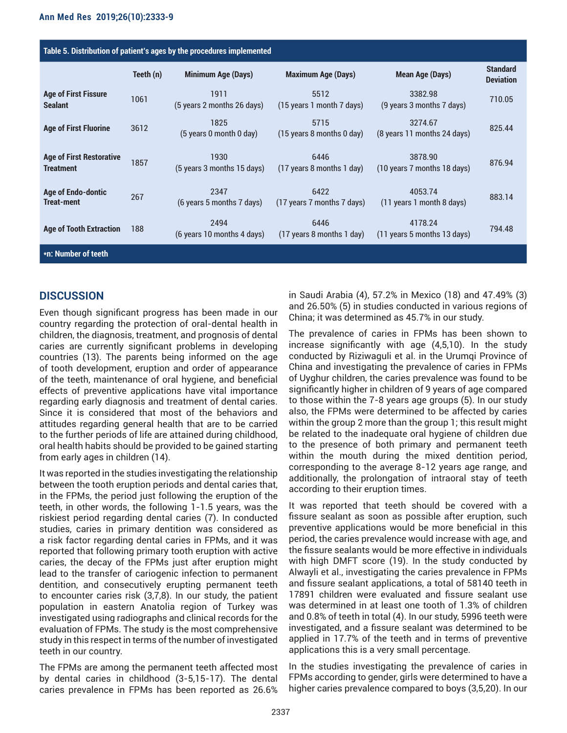| Table 5. Distribution of patient's ages by the procedures implemented |           |                                    |                                                               |                                                                    |                                     |  |  |  |  |  |
|-----------------------------------------------------------------------|-----------|------------------------------------|---------------------------------------------------------------|--------------------------------------------------------------------|-------------------------------------|--|--|--|--|--|
|                                                                       | Teeth (n) | <b>Minimum Age (Days)</b>          | <b>Maximum Age (Days)</b>                                     | <b>Mean Age (Days)</b>                                             | <b>Standard</b><br><b>Deviation</b> |  |  |  |  |  |
| <b>Age of First Fissure</b><br><b>Sealant</b>                         | 1061      | 1911<br>(5 years 2 months 26 days) | 5512<br>(15 years 1 month 7 days)                             | 3382.98<br>(9 years 3 months 7 days)                               | 710.05                              |  |  |  |  |  |
| <b>Age of First Fluorine</b>                                          | 3612      | 1825<br>(5 years 0 month 0 day)    | 5715<br>$(15 \text{ years } 8 \text{ months } 0 \text{ day})$ | 3274.67<br>(8 years 11 months 24 days)                             | 825.44                              |  |  |  |  |  |
| <b>Age of First Restorative</b><br><b>Treatment</b>                   | 1857      | 1930<br>(5 years 3 months 15 days) | 6446<br>$(17 \text{ years } 8 \text{ months } 1 \text{ day})$ | 3878.90<br>(10 years 7 months 18 days)                             | 876.94                              |  |  |  |  |  |
| Age of Endo-dontic<br><b>Treat-ment</b>                               | 267       | 2347<br>(6 years 5 months 7 days)  | 6422<br>(17 years 7 months 7 days)                            | 4053.74<br>(11 years 1 month 8 days)                               | 883.14                              |  |  |  |  |  |
| <b>Age of Tooth Extraction</b>                                        | 188       | 2494<br>(6 years 10 months 4 days) | 6446<br>$(17 \text{ years } 8 \text{ months } 1 \text{ day})$ | 4178.24<br>$(11 \text{ years } 5 \text{ months } 13 \text{ days})$ | 794.48                              |  |  |  |  |  |
| *n: Number of teeth                                                   |           |                                    |                                                               |                                                                    |                                     |  |  |  |  |  |

# **DISCUSSION**

Even though significant progress has been made in our country regarding the protection of oral-dental health in children, the diagnosis, treatment, and prognosis of dental caries are currently significant problems in developing countries (13). The parents being informed on the age of tooth development, eruption and order of appearance of the teeth, maintenance of oral hygiene, and beneficial effects of preventive applications have vital importance regarding early diagnosis and treatment of dental caries. Since it is considered that most of the behaviors and attitudes regarding general health that are to be carried to the further periods of life are attained during childhood, oral health habits should be provided to be gained starting from early ages in children (14).

It was reported in the studies investigating the relationship between the tooth eruption periods and dental caries that, in the FPMs, the period just following the eruption of the teeth, in other words, the following 1-1.5 years, was the riskiest period regarding dental caries (7). In conducted studies, caries in primary dentition was considered as a risk factor regarding dental caries in FPMs, and it was reported that following primary tooth eruption with active caries, the decay of the FPMs just after eruption might lead to the transfer of cariogenic infection to permanent dentition, and consecutively erupting permanent teeth to encounter caries risk (3,7,8). In our study, the patient population in eastern Anatolia region of Turkey was investigated using radiographs and clinical records for the evaluation of FPMs. The study is the most comprehensive study in this respect in terms of the number of investigated teeth in our country.

The FPMs are among the permanent teeth affected most by dental caries in childhood (3-5,15-17). The dental caries prevalence in FPMs has been reported as 26.6% in Saudi Arabia (4), 57.2% in Mexico (18) and 47.49% (3) and 26.50% (5) in studies conducted in various regions of China; it was determined as 45.7% in our study.

The prevalence of caries in FPMs has been shown to increase significantly with age (4,5,10). In the study conducted by Riziwaguli et al. in the Urumqi Province of China and investigating the prevalence of caries in FPMs of Uyghur children, the caries prevalence was found to be significantly higher in children of 9 years of age compared to those within the 7-8 years age groups (5). In our study also, the FPMs were determined to be affected by caries within the group 2 more than the group 1; this result might be related to the inadequate oral hygiene of children due to the presence of both primary and permanent teeth within the mouth during the mixed dentition period, corresponding to the average 8-12 years age range, and additionally, the prolongation of intraoral stay of teeth according to their eruption times.

It was reported that teeth should be covered with a fissure sealant as soon as possible after eruption, such preventive applications would be more beneficial in this period, the caries prevalence would increase with age, and the fissure sealants would be more effective in individuals with high DMFT score (19). In the study conducted by Alwayli et al., investigating the caries prevalence in FPMs and fissure sealant applications, a total of 58140 teeth in 17891 children were evaluated and fissure sealant use was determined in at least one tooth of 1.3% of children and 0.8% of teeth in total (4). In our study, 5996 teeth were investigated, and a fissure sealant was determined to be applied in 17.7% of the teeth and in terms of preventive applications this is a very small percentage.

In the studies investigating the prevalence of caries in FPMs according to gender, girls were determined to have a higher caries prevalence compared to boys (3,5,20). In our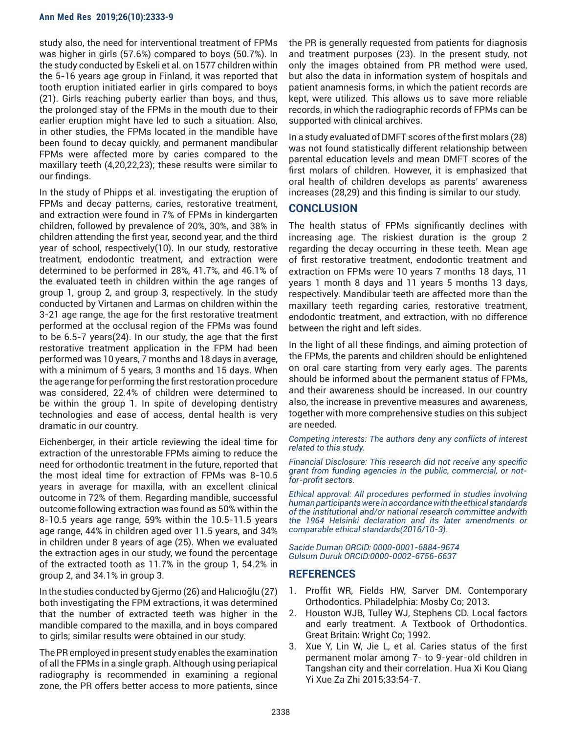#### **Ann Med Res 2019;26(10):2333-9**

study also, the need for interventional treatment of FPMs was higher in girls (57.6%) compared to boys (50.7%). In the study conducted by Eskeli et al. on 1577 children within the 5-16 years age group in Finland, it was reported that tooth eruption initiated earlier in girls compared to boys (21). Girls reaching puberty earlier than boys, and thus, the prolonged stay of the FPMs in the mouth due to their earlier eruption might have led to such a situation. Also, in other studies, the FPMs located in the mandible have been found to decay quickly, and permanent mandibular FPMs were affected more by caries compared to the maxillary teeth (4,20,22,23); these results were similar to our findings.

In the study of Phipps et al. investigating the eruption of FPMs and decay patterns, caries, restorative treatment, and extraction were found in 7% of FPMs in kindergarten children, followed by prevalence of 20%, 30%, and 38% in children attending the first year, second year, and the third year of school, respectively(10). In our study, restorative treatment, endodontic treatment, and extraction were determined to be performed in 28%, 41.7%, and 46.1% of the evaluated teeth in children within the age ranges of group 1, group 2, and group 3, respectively. In the study conducted by Virtanen and Larmas on children within the 3-21 age range, the age for the first restorative treatment performed at the occlusal region of the FPMs was found to be 6.5-7 years(24). In our study, the age that the first restorative treatment application in the FPM had been performed was 10 years, 7 months and 18 days in average, with a minimum of 5 years, 3 months and 15 days. When the age range for performing the first restoration procedure was considered, 22.4% of children were determined to be within the group 1. In spite of developing dentistry technologies and ease of access, dental health is very dramatic in our country.

Eichenberger, in their article reviewing the ideal time for extraction of the unrestorable FPMs aiming to reduce the need for orthodontic treatment in the future, reported that the most ideal time for extraction of FPMs was 8-10.5 years in average for maxilla, with an excellent clinical outcome in 72% of them. Regarding mandible, successful outcome following extraction was found as 50% within the 8-10.5 years age range, 59% within the 10.5-11.5 years age range, 44% in children aged over 11.5 years, and 34% in children under 8 years of age (25). When we evaluated the extraction ages in our study, we found the percentage of the extracted tooth as 11.7% in the group 1, 54.2% in group 2, and 34.1% in group 3.

In the studies conducted by Gjermo (26) and Halıcıoğlu (27) both investigating the FPM extractions, it was determined that the number of extracted teeth was higher in the mandible compared to the maxilla, and in boys compared to girls; similar results were obtained in our study.

The PR employed in present study enables the examination of all the FPMs in a single graph. Although using periapical radiography is recommended in examining a regional zone, the PR offers better access to more patients, since the PR is generally requested from patients for diagnosis and treatment purposes (23). In the present study, not only the images obtained from PR method were used, but also the data in information system of hospitals and patient anamnesis forms, in which the patient records are kept, were utilized. This allows us to save more reliable records, in which the radiographic records of FPMs can be supported with clinical archives.

In a study evaluated of DMFT scores of the first molars (28) was not found statistically different relationship between parental education levels and mean DMFT scores of the first molars of children. However, it is emphasized that oral health of children develops as parents' awareness increases (28,29) and this finding is similar to our study.

## **CONCLUSION**

The health status of FPMs significantly declines with increasing age. The riskiest duration is the group 2 regarding the decay occurring in these teeth. Mean age of first restorative treatment, endodontic treatment and extraction on FPMs were 10 years 7 months 18 days, 11 years 1 month 8 days and 11 years 5 months 13 days, respectively. Mandibular teeth are affected more than the maxillary teeth regarding caries, restorative treatment, endodontic treatment, and extraction, with no difference between the right and left sides.

In the light of all these findings, and aiming protection of the FPMs, the parents and children should be enlightened on oral care starting from very early ages. The parents should be informed about the permanent status of FPMs, and their awareness should be increased. In our country also, the increase in preventive measures and awareness, together with more comprehensive studies on this subject are needed.

*Competing interests: The authors deny any conflicts of interest related to this study.*

*Financial Disclosure: This research did not receive any specific grant from funding agencies in the public, commercial, or notfor-profit sectors.*

*Ethical approval: All procedures performed in studies involving human participants were in accordance with the ethical standards of the institutional and/or national research committee andwith the 1964 Helsinki declaration and its later amendments or comparable ethical standards(2016/10-3).*

*Sacide Duman ORCID: 0000-0001-6884-9674 Gulsum Duruk ORCID:0000-0002-6756-6637*

# **REFERENCES**

- 1. Proffit WR, Fields HW, Sarver DM. Contemporary Orthodontics. Philadelphia: Mosby Co; 2013.
- 2. Houston WJB, Tulley WJ, Stephens CD. Local factors and early treatment. A Textbook of Orthodontics. Great Britain: Wright Co; 1992.
- 3. Xue Y, Lin W, Jie L, et al. Caries status of the first permanent molar among 7- to 9-year-old children in Tangshan city and their correlation. Hua Xi Kou Qiang Yi Xue Za Zhi 2015;33:54-7.